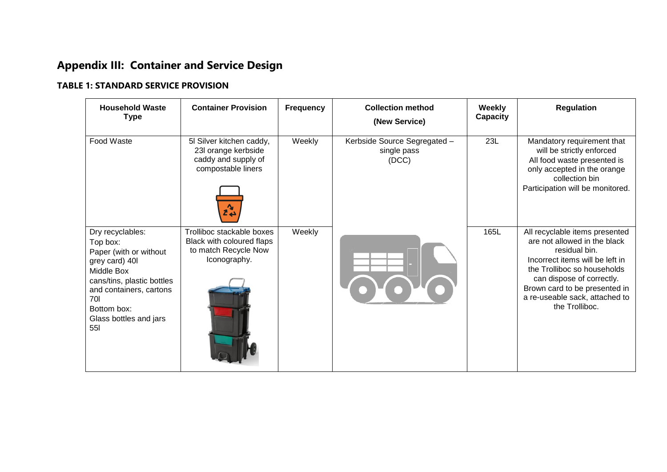# **Appendix III: Container and Service Design**

#### **TABLE 1: STANDARD SERVICE PROVISION**

| <b>Household Waste</b><br><b>Type</b>                                                                                                                                                                 | <b>Container Provision</b>                                                                     | <b>Frequency</b> | <b>Collection method</b><br>(New Service)            | <b>Weekly</b><br>Capacity | <b>Regulation</b>                                                                                                                                                                                                                                                   |
|-------------------------------------------------------------------------------------------------------------------------------------------------------------------------------------------------------|------------------------------------------------------------------------------------------------|------------------|------------------------------------------------------|---------------------------|---------------------------------------------------------------------------------------------------------------------------------------------------------------------------------------------------------------------------------------------------------------------|
| Food Waste                                                                                                                                                                                            | 5I Silver kitchen caddy,<br>23I orange kerbside<br>caddy and supply of<br>compostable liners   | Weekly           | Kerbside Source Segregated -<br>single pass<br>(DCC) | 23L                       | Mandatory requirement that<br>will be strictly enforced<br>All food waste presented is<br>only accepted in the orange<br>collection bin<br>Participation will be monitored.                                                                                         |
| Dry recyclables:<br>Top box:<br>Paper (with or without<br>grey card) 40l<br>Middle Box<br>cans/tins, plastic bottles<br>and containers, cartons<br>70<br>Bottom box:<br>Glass bottles and jars<br>551 | Trolliboc stackable boxes<br>Black with coloured flaps<br>to match Recycle Now<br>Iconography. | Weekly           |                                                      | 165L                      | All recyclable items presented<br>are not allowed in the black<br>residual bin.<br>Incorrect items will be left in<br>the Trolliboc so households<br>can dispose of correctly.<br>Brown card to be presented in<br>a re-useable sack, attached to<br>the Trolliboc. |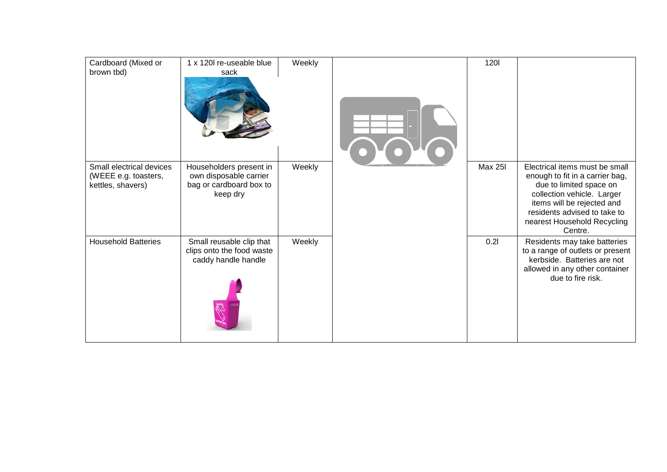| Cardboard (Mixed or<br>brown tbd)                                     | 1 x 120l re-useable blue<br>sack                                                         | Weekly | 1201           |                                                                                                                                                                                                                                    |
|-----------------------------------------------------------------------|------------------------------------------------------------------------------------------|--------|----------------|------------------------------------------------------------------------------------------------------------------------------------------------------------------------------------------------------------------------------------|
| Small electrical devices<br>(WEEE e.g. toasters,<br>kettles, shavers) | Householders present in<br>own disposable carrier<br>bag or cardboard box to<br>keep dry | Weekly | <b>Max 25I</b> | Electrical items must be small<br>enough to fit in a carrier bag,<br>due to limited space on<br>collection vehicle. Larger<br>items will be rejected and<br>residents advised to take to<br>nearest Household Recycling<br>Centre. |
| <b>Household Batteries</b>                                            | Small reusable clip that<br>clips onto the food waste<br>caddy handle handle             | Weekly | 0.21           | Residents may take batteries<br>to a range of outlets or present<br>kerbside. Batteries are not<br>allowed in any other container<br>due to fire risk.                                                                             |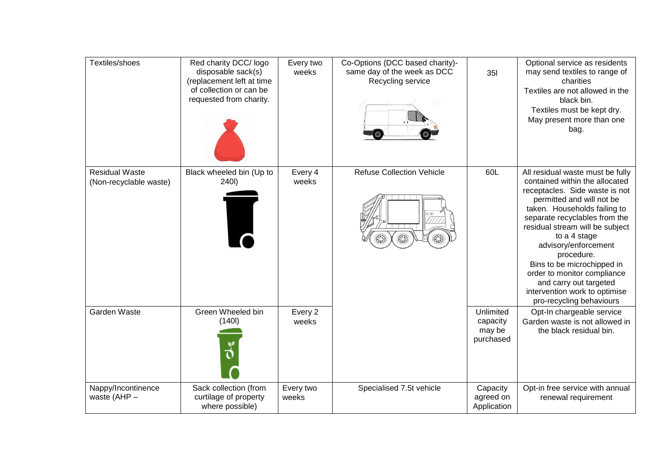| Textiles/shoes                                  | Red charity DCC/ logo<br>disposable sack(s)<br>(replacement left at time<br>of collection or can be<br>requested from charity. | Every two<br>weeks | Co-Options (DCC based charity)-<br>same day of the week as DCC<br>Recycling service<br>$\bullet$ | <b>351</b>                                   | Optional service as residents<br>may send textiles to range of<br>charities<br>Textiles are not allowed in the<br>black bin.<br>Textiles must be kept dry.<br>May present more than one<br>bag.                                                                                                                                                                                                                                                 |
|-------------------------------------------------|--------------------------------------------------------------------------------------------------------------------------------|--------------------|--------------------------------------------------------------------------------------------------|----------------------------------------------|-------------------------------------------------------------------------------------------------------------------------------------------------------------------------------------------------------------------------------------------------------------------------------------------------------------------------------------------------------------------------------------------------------------------------------------------------|
| <b>Residual Waste</b><br>(Non-recyclable waste) | Black wheeled bin (Up to<br>240I)                                                                                              | Every 4<br>weeks   | <b>Refuse Collection Vehicle</b>                                                                 | 60L                                          | All residual waste must be fully<br>contained within the allocated<br>receptacles. Side waste is not<br>permitted and will not be<br>taken. Households failing to<br>separate recyclables from the<br>residual stream will be subject<br>to a 4 stage<br>advisory/enforcement<br>procedure.<br>Bins to be microchipped in<br>order to monitor compliance<br>and carry out targeted<br>intervention work to optimise<br>pro-recycling behaviours |
| <b>Garden Waste</b>                             | Green Wheeled bin<br>(140)                                                                                                     | Every 2<br>weeks   |                                                                                                  | Unlimited<br>capacity<br>may be<br>purchased | Opt-In chargeable service<br>Garden waste is not allowed in<br>the black residual bin.                                                                                                                                                                                                                                                                                                                                                          |
| Nappy/Incontinence<br>waste (AHP -              | Sack collection (from<br>curtilage of property<br>where possible)                                                              | Every two<br>weeks | Specialised 7.5t vehicle                                                                         | Capacity<br>agreed on<br>Application         | Opt-in free service with annual<br>renewal requirement                                                                                                                                                                                                                                                                                                                                                                                          |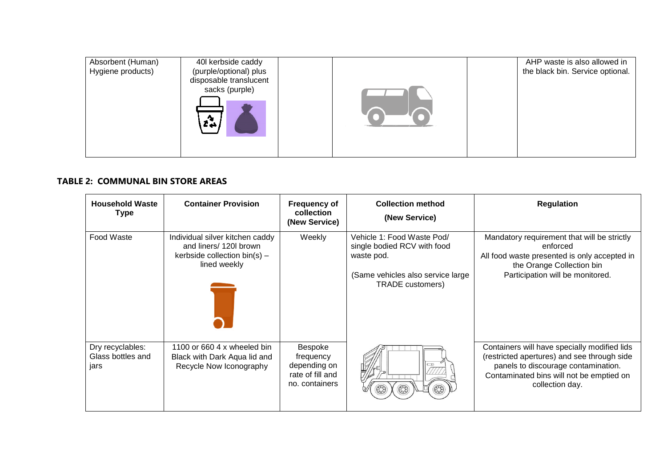| Absorbent (Human) | 40 kerbside caddy      |  | AHP waste is also allowed in     |
|-------------------|------------------------|--|----------------------------------|
| Hygiene products) | (purple/optional) plus |  | the black bin. Service optional. |
|                   | disposable translucent |  |                                  |
|                   | sacks (purple)         |  |                                  |
|                   |                        |  |                                  |

#### **TABLE 2: COMMUNAL BIN STORE AREAS**

| <b>Household Waste</b><br>Type                | <b>Container Provision</b>                                                                                  | <b>Frequency of</b><br>collection<br>(New Service)                         | <b>Collection method</b><br>(New Service)                                                                                               | <b>Regulation</b>                                                                                                                                                                                 |
|-----------------------------------------------|-------------------------------------------------------------------------------------------------------------|----------------------------------------------------------------------------|-----------------------------------------------------------------------------------------------------------------------------------------|---------------------------------------------------------------------------------------------------------------------------------------------------------------------------------------------------|
| Food Waste                                    | Individual silver kitchen caddy<br>and liners/ 120l brown<br>kerbside collection $bin(s)$ –<br>lined weekly | Weekly                                                                     | Vehicle 1: Food Waste Pod/<br>single bodied RCV with food<br>waste pod.<br>(Same vehicles also service large<br><b>TRADE</b> customers) | Mandatory requirement that will be strictly<br>enforced<br>All food waste presented is only accepted in<br>the Orange Collection bin<br>Participation will be monitored.                          |
| Dry recyclables:<br>Glass bottles and<br>jars | 1100 or 660 4 x wheeled bin<br>Black with Dark Aqua lid and<br>Recycle Now Iconography                      | Bespoke<br>frequency<br>depending on<br>rate of fill and<br>no. containers |                                                                                                                                         | Containers will have specially modified lids<br>(restricted apertures) and see through side<br>panels to discourage contamination.<br>Contaminated bins will not be emptied on<br>collection day. |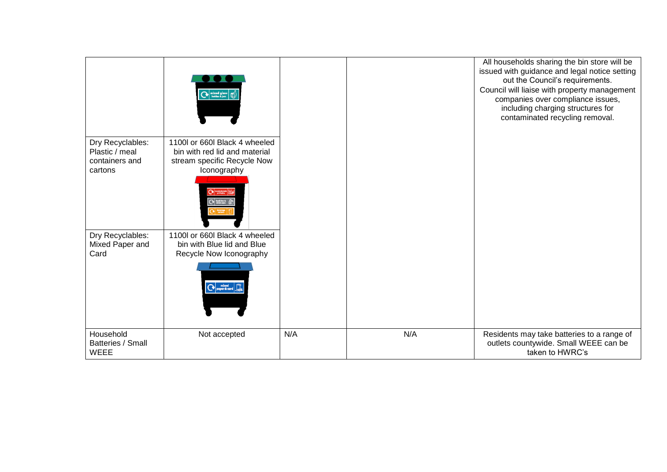|                                                                 | $\boxed{\bigcirc}$                                                                                           |     |     | All households sharing the bin store will be<br>issued with guidance and legal notice setting<br>out the Council's requirements.<br>Council will liaise with property management<br>companies over compliance issues,<br>including charging structures for<br>contaminated recycling removal. |
|-----------------------------------------------------------------|--------------------------------------------------------------------------------------------------------------|-----|-----|-----------------------------------------------------------------------------------------------------------------------------------------------------------------------------------------------------------------------------------------------------------------------------------------------|
| Dry Recyclables:<br>Plastic / meal<br>containers and<br>cartons | 1100l or 660l Black 4 wheeled<br>bin with red lid and material<br>stream specific Recycle Now<br>Iconography |     |     |                                                                                                                                                                                                                                                                                               |
| Dry Recyclables:<br>Mixed Paper and<br>Card                     | 1100 or 660 Black 4 wheeled<br>bin with Blue lid and Blue<br>Recycle Now Iconography<br>Co paper & card June |     |     |                                                                                                                                                                                                                                                                                               |
| Household<br>Batteries / Small<br><b>WEEE</b>                   | Not accepted                                                                                                 | N/A | N/A | Residents may take batteries to a range of<br>outlets countywide. Small WEEE can be<br>taken to HWRC's                                                                                                                                                                                        |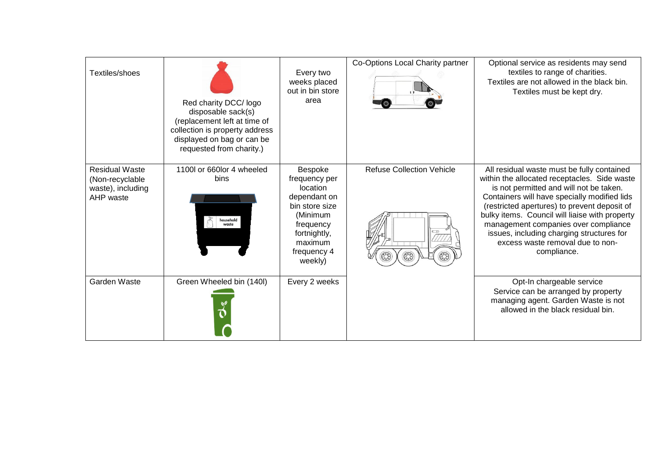| Textiles/shoes                                                             | Red charity DCC/ logo<br>disposable sack(s)<br>(replacement left at time of<br>collection is property address<br>displayed on bag or can be<br>requested from charity.) | Every two<br>weeks placed<br>out in bin store<br>area                                                                                                | Co-Options Local Charity partner | Optional service as residents may send<br>textiles to range of charities.<br>Textiles are not allowed in the black bin.<br>Textiles must be kept dry.                                                                                                                                                                                                                                                                           |
|----------------------------------------------------------------------------|-------------------------------------------------------------------------------------------------------------------------------------------------------------------------|------------------------------------------------------------------------------------------------------------------------------------------------------|----------------------------------|---------------------------------------------------------------------------------------------------------------------------------------------------------------------------------------------------------------------------------------------------------------------------------------------------------------------------------------------------------------------------------------------------------------------------------|
| <b>Residual Waste</b><br>(Non-recyclable<br>waste), including<br>AHP waste | 1100 or 660 lor 4 wheeled<br>bins<br>household<br>waste                                                                                                                 | Bespoke<br>frequency per<br>location<br>dependant on<br>bin store size<br>(Minimum<br>frequency<br>fortnightly,<br>maximum<br>frequency 4<br>weekly) | <b>Refuse Collection Vehicle</b> | All residual waste must be fully contained<br>within the allocated receptacles. Side waste<br>is not permitted and will not be taken.<br>Containers will have specially modified lids<br>(restricted apertures) to prevent deposit of<br>bulky items. Council will liaise with property<br>management companies over compliance<br>issues, including charging structures for<br>excess waste removal due to non-<br>compliance. |
| Garden Waste                                                               | Green Wheeled bin (140I)                                                                                                                                                | Every 2 weeks                                                                                                                                        |                                  | Opt-In chargeable service<br>Service can be arranged by property<br>managing agent. Garden Waste is not<br>allowed in the black residual bin.                                                                                                                                                                                                                                                                                   |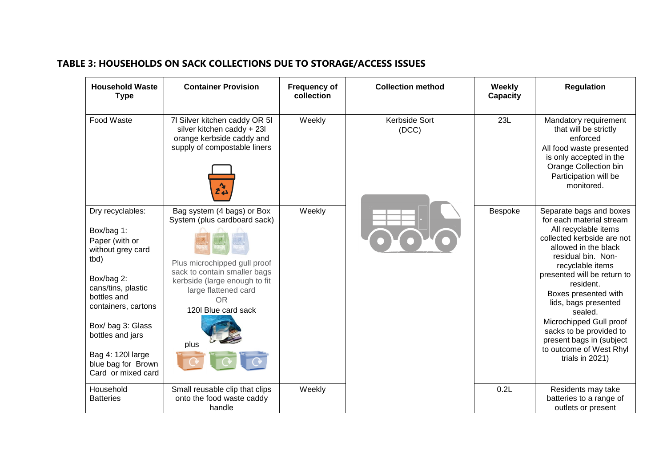## **TABLE 3: HOUSEHOLDS ON SACK COLLECTIONS DUE TO STORAGE/ACCESS ISSUES**

| <b>Household Waste</b><br><b>Type</b>                                  | <b>Container Provision</b>                                                                                               | <b>Frequency of</b><br>collection | <b>Collection method</b> | Weekly<br>Capacity | <b>Regulation</b>                                                                                                                                                                 |
|------------------------------------------------------------------------|--------------------------------------------------------------------------------------------------------------------------|-----------------------------------|--------------------------|--------------------|-----------------------------------------------------------------------------------------------------------------------------------------------------------------------------------|
| Food Waste                                                             | 7I Silver kitchen caddy OR 5I<br>silver kitchen caddy + 23l<br>orange kerbside caddy and<br>supply of compostable liners | Weekly                            | Kerbside Sort<br>(DCC)   | 23L                | Mandatory requirement<br>that will be strictly<br>enforced<br>All food waste presented<br>is only accepted in the<br>Orange Collection bin<br>Participation will be<br>monitored. |
| Dry recyclables:                                                       | Bag system (4 bags) or Box<br>System (plus cardboard sack)                                                               | Weekly                            |                          | Bespoke            | Separate bags and boxes<br>for each material stream                                                                                                                               |
| Box/bag 1:<br>Paper (with or<br>without grey card<br>tbd)              | Plus microchipped gull proof                                                                                             |                                   |                          |                    | All recyclable items<br>collected kerbside are not<br>allowed in the black<br>residual bin. Non-<br>recyclable items                                                              |
| Box/bag 2:<br>cans/tins, plastic<br>bottles and<br>containers, cartons | sack to contain smaller bags<br>kerbside (large enough to fit<br>large flattened card<br><b>OR</b><br>120 Blue card sack |                                   |                          |                    | presented will be return to<br>resident.<br>Boxes presented with<br>lids, bags presented<br>sealed.                                                                               |
| Box/bag 3: Glass<br>bottles and jars                                   | plus                                                                                                                     |                                   |                          |                    | Microchipped Gull proof<br>sacks to be provided to<br>present bags in (subject                                                                                                    |
| Bag 4: 120 large<br>blue bag for Brown<br>Card or mixed card           |                                                                                                                          |                                   |                          |                    | to outcome of West Rhyl<br>trials in 2021)                                                                                                                                        |
| Household<br><b>Batteries</b>                                          | Small reusable clip that clips<br>onto the food waste caddy<br>handle                                                    | Weekly                            |                          | 0.2L               | Residents may take<br>batteries to a range of<br>outlets or present                                                                                                               |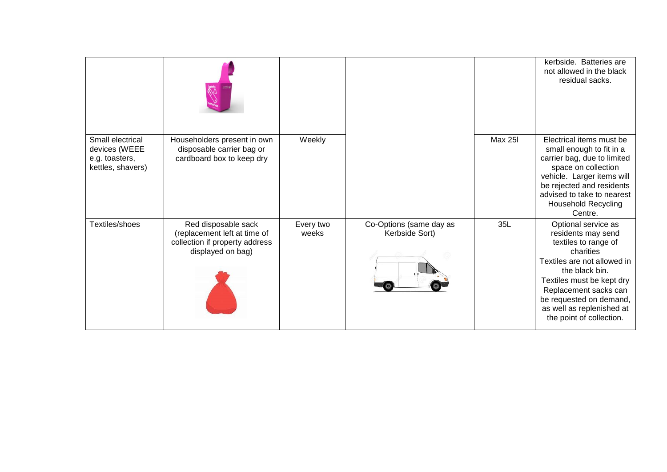|                                                                          |                                                                                                            |                    |                                           |         | kerbside. Batteries are<br>not allowed in the black<br>residual sacks.                                                                                                                                                                                                    |
|--------------------------------------------------------------------------|------------------------------------------------------------------------------------------------------------|--------------------|-------------------------------------------|---------|---------------------------------------------------------------------------------------------------------------------------------------------------------------------------------------------------------------------------------------------------------------------------|
| Small electrical<br>devices (WEEE<br>e.g. toasters,<br>kettles, shavers) | Householders present in own<br>disposable carrier bag or<br>cardboard box to keep dry                      | Weekly             |                                           | Max 25I | Electrical items must be<br>small enough to fit in a<br>carrier bag, due to limited<br>space on collection<br>vehicle. Larger items will<br>be rejected and residents<br>advised to take to nearest<br><b>Household Recycling</b><br>Centre.                              |
| Textiles/shoes                                                           | Red disposable sack<br>(replacement left at time of<br>collection if property address<br>displayed on bag) | Every two<br>weeks | Co-Options (same day as<br>Kerbside Sort) | 35L     | Optional service as<br>residents may send<br>textiles to range of<br>charities<br>Textiles are not allowed in<br>the black bin.<br>Textiles must be kept dry<br>Replacement sacks can<br>be requested on demand,<br>as well as replenished at<br>the point of collection. |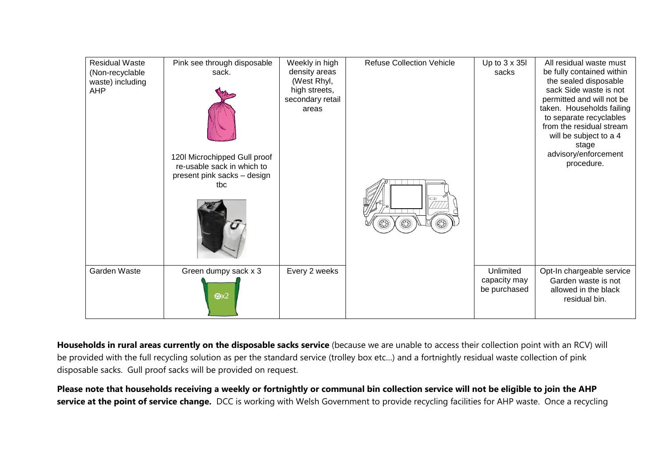| <b>Residual Waste</b><br>(Non-recyclable<br>waste) including<br><b>AHP</b> | Pink see through disposable<br>sack.<br>120I Microchipped Gull proof<br>re-usable sack in which to<br>present pink sacks - design<br>tbc<br>$\mathcal{I}$ | Weekly in high<br>density areas<br>(West Rhyl,<br>high streets,<br>secondary retail<br>areas | <b>Refuse Collection Vehicle</b> | Up to $3 \times 35$<br>sacks              | All residual waste must<br>be fully contained within<br>the sealed disposable<br>sack Side waste is not<br>permitted and will not be<br>taken. Households failing<br>to separate recyclables<br>from the residual stream<br>will be subject to a 4<br>stage<br>advisory/enforcement<br>procedure. |
|----------------------------------------------------------------------------|-----------------------------------------------------------------------------------------------------------------------------------------------------------|----------------------------------------------------------------------------------------------|----------------------------------|-------------------------------------------|---------------------------------------------------------------------------------------------------------------------------------------------------------------------------------------------------------------------------------------------------------------------------------------------------|
| Garden Waste                                                               | Green dumpy sack x 3<br>$\bigcirc x2$                                                                                                                     | Every 2 weeks                                                                                |                                  | Unlimited<br>capacity may<br>be purchased | Opt-In chargeable service<br>Garden waste is not<br>allowed in the black<br>residual bin.                                                                                                                                                                                                         |

**Households in rural areas currently on the disposable sacks service** (because we are unable to access their collection point with an RCV) will be provided with the full recycling solution as per the standard service (trolley box etc…) and a fortnightly residual waste collection of pink disposable sacks. Gull proof sacks will be provided on request.

**Please note that households receiving a weekly or fortnightly or communal bin collection service will not be eligible to join the AHP**  service at the point of service change. DCC is working with Welsh Government to provide recycling facilities for AHP waste. Once a recycling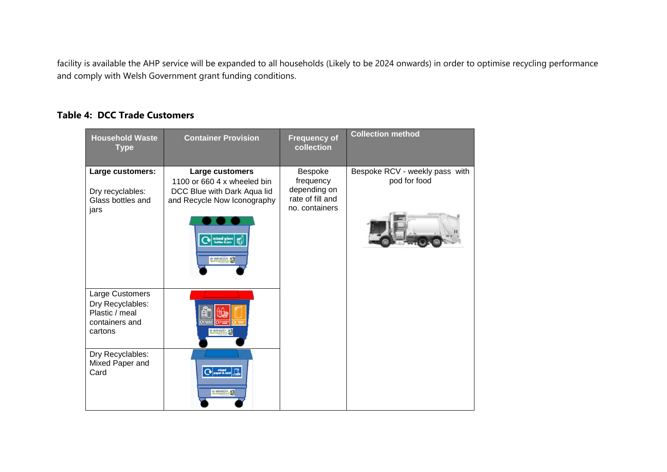facility is available the AHP service will be expanded to all households (Likely to be 2024 onwards) in order to optimise recycling performance and comply with Welsh Government grant funding conditions.

### **Table 4: DCC Trade Customers**

| <b>Household Waste</b><br><b>Type</b>                                              | <b>Container Provision</b>                                                                                                                                                                                   | <b>Frequency of</b><br>collection                                          | <b>Collection method</b>                       |
|------------------------------------------------------------------------------------|--------------------------------------------------------------------------------------------------------------------------------------------------------------------------------------------------------------|----------------------------------------------------------------------------|------------------------------------------------|
| Large customers:<br>Dry recyclables:<br>Glass bottles and<br>jars                  | Large customers<br>1100 or 660 4 x wheeled bin<br>DCC Blue with Dark Aqua lid<br>and Recycle Now Iconography<br>$\blacktriangleright$ that $\mathfrak{g}$ $\mid$ $\mathfrak{g}$ $\Downarrow$<br>sir ddinbych | Bespoke<br>frequency<br>depending on<br>rate of fill and<br>no. containers | Bespoke RCV - weekly pass with<br>pod for food |
| Large Customers<br>Dry Recyclables:<br>Plastic / meal<br>containers and<br>cartons | ir ddinbych                                                                                                                                                                                                  |                                                                            |                                                |
| Dry Recyclables:<br>Mixed Paper and<br>Card                                        | sir ddinbych                                                                                                                                                                                                 |                                                                            |                                                |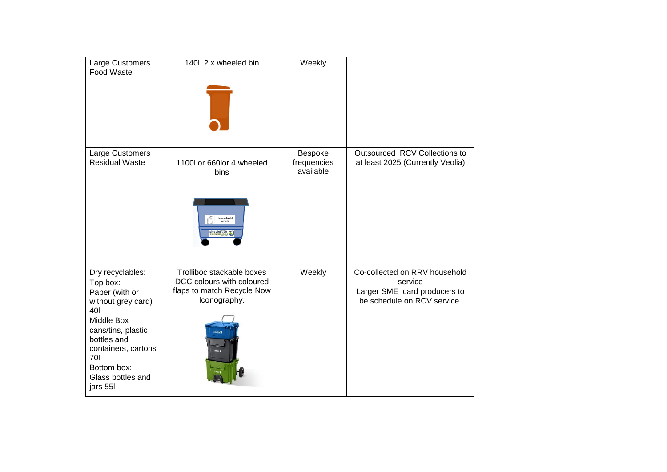| Large Customers<br>Food Waste                                                                                                                                                                                | 1401 2 x wheeled bin                                                                                 | Weekly                              |                                                                                                         |
|--------------------------------------------------------------------------------------------------------------------------------------------------------------------------------------------------------------|------------------------------------------------------------------------------------------------------|-------------------------------------|---------------------------------------------------------------------------------------------------------|
| Large Customers<br><b>Residual Waste</b>                                                                                                                                                                     | 1100l or 660lor 4 wheeled<br>bins<br>household<br>waste<br>r ddinbych<br>enbighshiri                 | Bespoke<br>frequencies<br>available | Outsourced RCV Collections to<br>at least 2025 (Currently Veolia)                                       |
| Dry recyclables:<br>Top box:<br>Paper (with or<br>without grey card)<br>401<br>Middle Box<br>cans/tins, plastic<br>bottles and<br>containers, cartons<br>701<br>Bottom box:<br>Glass bottles and<br>jars 55I | Trolliboc stackable boxes<br>DCC colours with coloured<br>flaps to match Recycle Now<br>Iconography. | Weekly                              | Co-collected on RRV household<br>service<br>Larger SME card producers to<br>be schedule on RCV service. |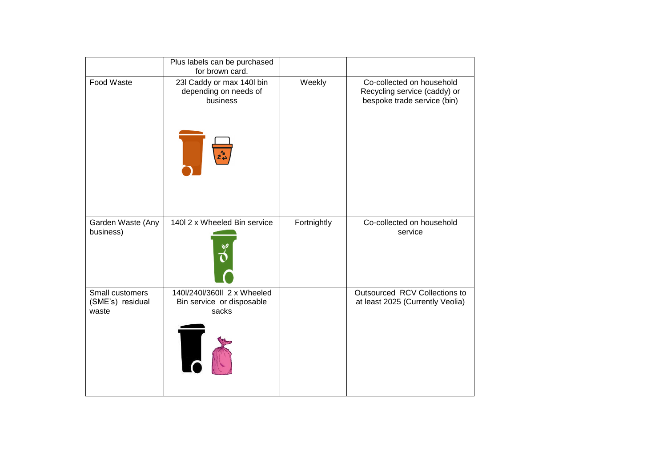|                                              | Plus labels can be purchased<br>for brown card.                                           |             |                                                                                          |
|----------------------------------------------|-------------------------------------------------------------------------------------------|-------------|------------------------------------------------------------------------------------------|
| Food Waste                                   | 23l Caddy or max 140l bin<br>depending on needs of<br>business<br>$z^2_{\leftrightarrow}$ | Weekly      | Co-collected on household<br>Recycling service (caddy) or<br>bespoke trade service (bin) |
| Garden Waste (Any<br>business)               | 140I 2 x Wheeled Bin service                                                              | Fortnightly | Co-collected on household<br>service                                                     |
| Small customers<br>(SME's) residual<br>waste | 140l/240l/360ll 2 x Wheeled<br>Bin service or disposable<br>sacks                         |             | Outsourced RCV Collections to<br>at least 2025 (Currently Veolia)                        |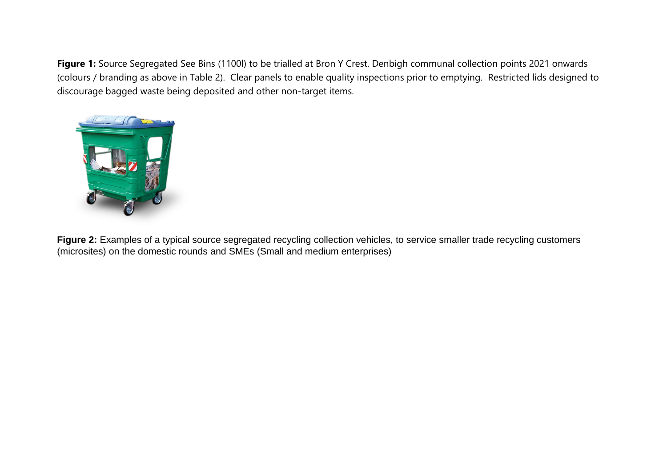**Figure 1:** Source Segregated See Bins (1100l) to be trialled at Bron Y Crest. Denbigh communal collection points 2021 onwards (colours / branding as above in Table 2). Clear panels to enable quality inspections prior to emptying. Restricted lids designed to discourage bagged waste being deposited and other non-target items.



Figure 2: Examples of a typical source segregated recycling collection vehicles, to service smaller trade recycling customers (microsites) on the domestic rounds and SMEs (Small and medium enterprises)